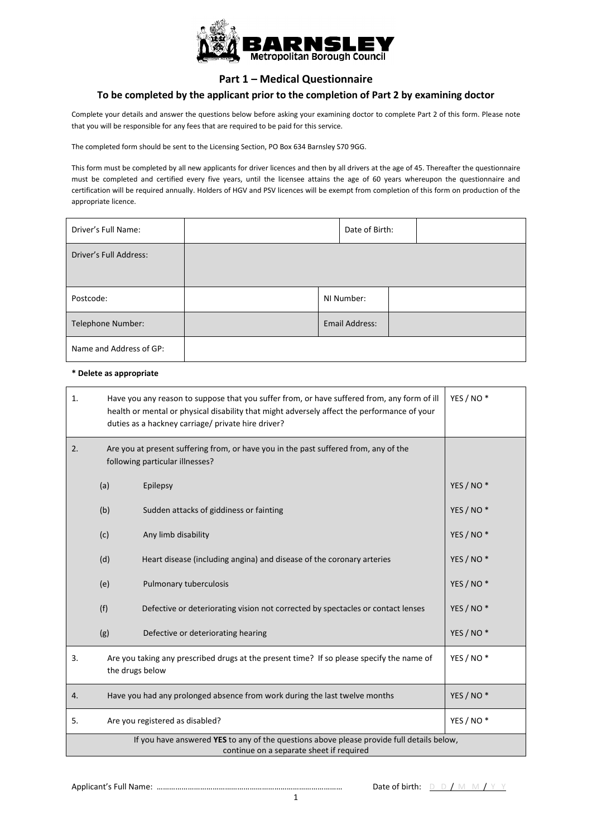

### **Part 1 – Medical Questionnaire**

#### **To be completed by the applicant prior to the completion of Part 2 by examining doctor**

 Complete your details and answer the questions below before asking your examining doctor to complete Part 2 of this form. Please note that you will be responsible for any fees that are required to be paid for this service.

The completed form should be sent to the Licensing Section, PO Box 634 Barnsley S70 9GG.

 This form must be completed by all new applicants for driver licences and then by all drivers at the age of 45. Thereafter the questionnaire must be completed and certified every five years, until the licensee attains the age of 60 years whereupon the questionnaire and certification will be required annually. Holders of HGV and PSV licences will be exempt from completion of this form on production of the appropriate licence.

| Driver's Full Name:     | Date of Birth: |  |
|-------------------------|----------------|--|
| Driver's Full Address:  |                |  |
| Postcode:               | NI Number:     |  |
| Telephone Number:       | Email Address: |  |
| Name and Address of GP: |                |  |

#### **\* Delete as appropriate**

| 1. |                                                                                                                                       | Have you any reason to suppose that you suffer from, or have suffered from, any form of ill<br>health or mental or physical disability that might adversely affect the performance of your<br>duties as a hackney carriage/ private hire driver? | YES / NO <sup>*</sup> |  |
|----|---------------------------------------------------------------------------------------------------------------------------------------|--------------------------------------------------------------------------------------------------------------------------------------------------------------------------------------------------------------------------------------------------|-----------------------|--|
| 2. |                                                                                                                                       | Are you at present suffering from, or have you in the past suffered from, any of the<br>following particular illnesses?                                                                                                                          |                       |  |
|    | (a)                                                                                                                                   | Epilepsy                                                                                                                                                                                                                                         | YES / NO <sup>*</sup> |  |
|    | (b)                                                                                                                                   | Sudden attacks of giddiness or fainting                                                                                                                                                                                                          | YES / NO <sup>*</sup> |  |
|    | (c)                                                                                                                                   | Any limb disability                                                                                                                                                                                                                              | YES / NO <sup>*</sup> |  |
|    | (d)                                                                                                                                   | Heart disease (including angina) and disease of the coronary arteries                                                                                                                                                                            | YES / NO <sup>*</sup> |  |
|    | (e)                                                                                                                                   | Pulmonary tuberculosis                                                                                                                                                                                                                           | YES / NO <sup>*</sup> |  |
|    | (f)                                                                                                                                   | Defective or deteriorating vision not corrected by spectacles or contact lenses                                                                                                                                                                  | YES / NO <sup>*</sup> |  |
|    | (g)                                                                                                                                   | Defective or deteriorating hearing                                                                                                                                                                                                               | YES / NO*             |  |
| 3. | the drugs below                                                                                                                       | Are you taking any prescribed drugs at the present time? If so please specify the name of                                                                                                                                                        | YES / NO <sup>*</sup> |  |
| 4. | YES / NO <sup>*</sup><br>Have you had any prolonged absence from work during the last twelve months                                   |                                                                                                                                                                                                                                                  |                       |  |
| 5. |                                                                                                                                       | Are you registered as disabled?                                                                                                                                                                                                                  | YES / NO <sup>*</sup> |  |
|    | If you have answered YES to any of the questions above please provide full details below,<br>continue on a separate sheet if required |                                                                                                                                                                                                                                                  |                       |  |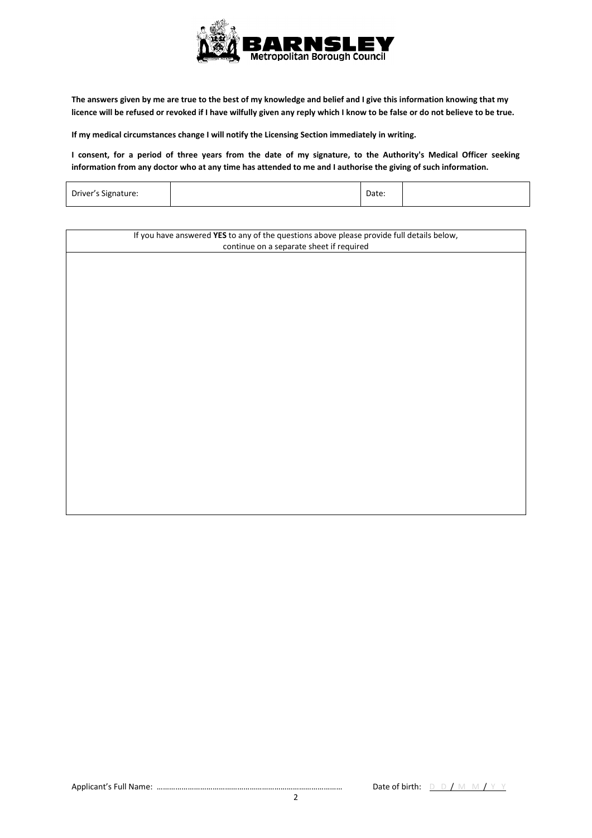

**The answers given by me are true to the best of my knowledge and belief and I give this information knowing that my licence will be refused or revoked if I have wilfully given any reply which I know to be false or do not believe to be true.** 

**If my medical circumstances change I will notify the Licensing Section immediately in writing.** 

 **I consent, for a period of three years from the date of my signature, to the Authority's Medical Officer seeking information from any doctor who at any time has attended to me and I authorise the giving of such information.** 

| Driver's Signature: |  | Date: |  |
|---------------------|--|-------|--|
|---------------------|--|-------|--|

| If you have answered YES to any of the questions above please provide full details below, |  |  |
|-------------------------------------------------------------------------------------------|--|--|
| continue on a separate sheet if required                                                  |  |  |
|                                                                                           |  |  |
|                                                                                           |  |  |
|                                                                                           |  |  |
|                                                                                           |  |  |
|                                                                                           |  |  |
|                                                                                           |  |  |
|                                                                                           |  |  |
|                                                                                           |  |  |
|                                                                                           |  |  |
|                                                                                           |  |  |
|                                                                                           |  |  |
|                                                                                           |  |  |
|                                                                                           |  |  |
|                                                                                           |  |  |
|                                                                                           |  |  |
|                                                                                           |  |  |
|                                                                                           |  |  |
|                                                                                           |  |  |
|                                                                                           |  |  |
|                                                                                           |  |  |
|                                                                                           |  |  |
|                                                                                           |  |  |
|                                                                                           |  |  |
|                                                                                           |  |  |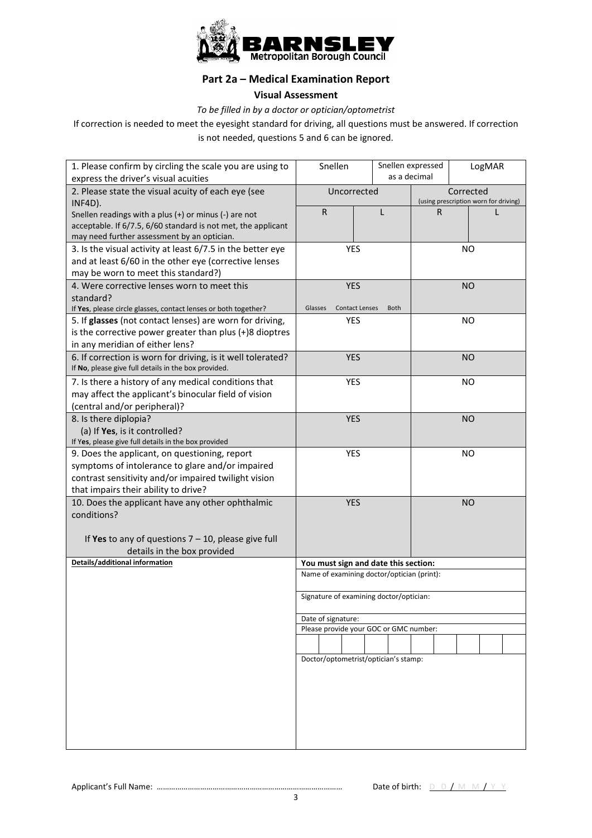

## **Part 2a – Medical Examination Report**

#### **Visual Assessment**

*To be filled in by a doctor or optician/optometrist* 

If correction is needed to meet the eyesight standard for driving, all questions must be answered. If correction is not needed, questions 5 and 6 can be ignored.

| 1. Please confirm by circling the scale you are using to<br>express the driver's visual acuities | Snellen            |                                            | Snellen expressed<br>as a decimal | LogMAR                                |
|--------------------------------------------------------------------------------------------------|--------------------|--------------------------------------------|-----------------------------------|---------------------------------------|
|                                                                                                  | Uncorrected        |                                            |                                   | Corrected                             |
| 2. Please state the visual acuity of each eye (see<br>INF4D).                                    |                    |                                            |                                   | (using prescription worn for driving) |
| Snellen readings with a plus (+) or minus (-) are not                                            | $\mathsf{R}$       | L                                          | R                                 |                                       |
| acceptable. If 6/7.5, 6/60 standard is not met, the applicant                                    |                    |                                            |                                   |                                       |
| may need further assessment by an optician.                                                      |                    |                                            |                                   |                                       |
| 3. Is the visual activity at least 6/7.5 in the better eye                                       | <b>YES</b>         |                                            | <b>NO</b>                         |                                       |
| and at least 6/60 in the other eye (corrective lenses                                            |                    |                                            |                                   |                                       |
| may be worn to meet this standard?)                                                              |                    |                                            |                                   |                                       |
| 4. Were corrective lenses worn to meet this                                                      | <b>YES</b>         |                                            |                                   | <b>NO</b>                             |
| standard?                                                                                        |                    |                                            |                                   |                                       |
| If Yes, please circle glasses, contact lenses or both together?                                  | Glasses            | <b>Contact Lenses</b><br><b>Both</b>       |                                   |                                       |
| 5. If glasses (not contact lenses) are worn for driving,                                         | <b>YES</b>         |                                            |                                   | NO                                    |
| is the corrective power greater than plus (+)8 dioptres                                          |                    |                                            |                                   |                                       |
| in any meridian of either lens?                                                                  |                    |                                            |                                   |                                       |
| 6. If correction is worn for driving, is it well tolerated?                                      | <b>YES</b>         |                                            |                                   | <b>NO</b>                             |
| If No, please give full details in the box provided.                                             |                    |                                            |                                   |                                       |
| 7. Is there a history of any medical conditions that                                             | <b>YES</b>         |                                            |                                   | ΝO                                    |
| may affect the applicant's binocular field of vision                                             |                    |                                            |                                   |                                       |
| (central and/or peripheral)?                                                                     |                    |                                            |                                   |                                       |
| 8. Is there diplopia?                                                                            | <b>YES</b>         |                                            |                                   | <b>NO</b>                             |
| (a) If Yes, is it controlled?                                                                    |                    |                                            |                                   |                                       |
| If Yes, please give full details in the box provided                                             |                    |                                            |                                   |                                       |
| 9. Does the applicant, on questioning, report                                                    | <b>YES</b>         |                                            |                                   | <b>NO</b>                             |
| symptoms of intolerance to glare and/or impaired                                                 |                    |                                            |                                   |                                       |
| contrast sensitivity and/or impaired twilight vision                                             |                    |                                            |                                   |                                       |
| that impairs their ability to drive?                                                             |                    |                                            |                                   |                                       |
| 10. Does the applicant have any other ophthalmic<br>conditions?                                  | <b>YES</b>         |                                            |                                   | <b>NO</b>                             |
|                                                                                                  |                    |                                            |                                   |                                       |
| If Yes to any of questions $7 - 10$ , please give full                                           |                    |                                            |                                   |                                       |
| details in the box provided                                                                      |                    |                                            |                                   |                                       |
| Details/additional information                                                                   |                    | You must sign and date this section:       |                                   |                                       |
|                                                                                                  |                    | Name of examining doctor/optician (print): |                                   |                                       |
|                                                                                                  |                    |                                            |                                   |                                       |
|                                                                                                  |                    | Signature of examining doctor/optician:    |                                   |                                       |
|                                                                                                  |                    |                                            |                                   |                                       |
|                                                                                                  | Date of signature: | Please provide your GOC or GMC number:     |                                   |                                       |
|                                                                                                  |                    |                                            |                                   |                                       |
|                                                                                                  |                    |                                            |                                   |                                       |
|                                                                                                  |                    | Doctor/optometrist/optician's stamp:       |                                   |                                       |
|                                                                                                  |                    |                                            |                                   |                                       |
|                                                                                                  |                    |                                            |                                   |                                       |
|                                                                                                  |                    |                                            |                                   |                                       |
|                                                                                                  |                    |                                            |                                   |                                       |
|                                                                                                  |                    |                                            |                                   |                                       |
|                                                                                                  |                    |                                            |                                   |                                       |
|                                                                                                  |                    |                                            |                                   |                                       |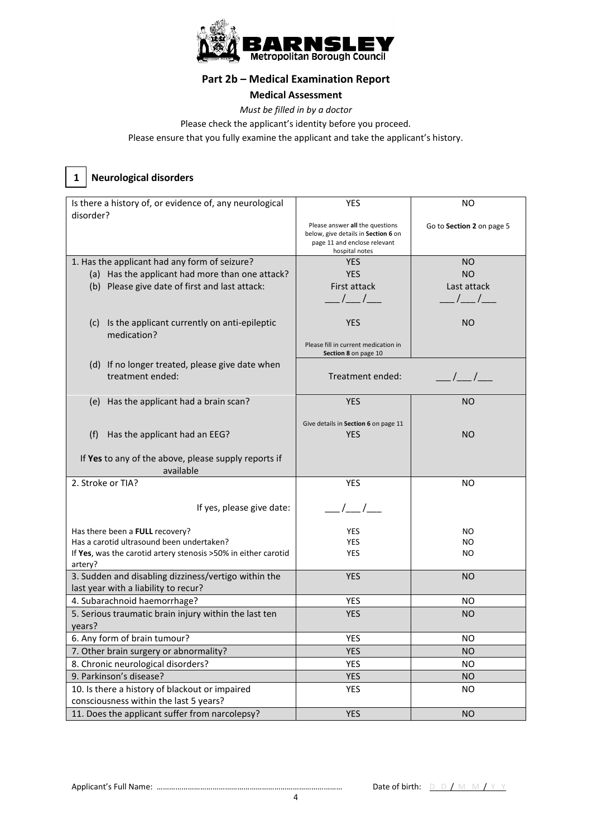

## **Part 2b – Medical Examination Report**

#### **Medical Assessment**

*Must be filled in by a doctor* 

Please check the applicant's identity before you proceed.

Please ensure that you fully examine the applicant and take the applicant's history.

# **Neurological disorders**

 **1** 

| Is there a history of, or evidence of, any neurological         | <b>YES</b>                                                                                                               | <b>NO</b>                         |
|-----------------------------------------------------------------|--------------------------------------------------------------------------------------------------------------------------|-----------------------------------|
| disorder?                                                       | Please answer all the questions<br>below, give details in Section 6 on<br>page 11 and enclose relevant<br>hospital notes | Go to Section 2 on page 5         |
| 1. Has the applicant had any form of seizure?                   | <b>YES</b>                                                                                                               | NO.                               |
| (a) Has the applicant had more than one attack?                 | <b>YES</b>                                                                                                               | <b>NO</b>                         |
| (b) Please give date of first and last attack:                  | First attack                                                                                                             | Last attack                       |
|                                                                 |                                                                                                                          |                                   |
|                                                                 | $\frac{1}{2}$                                                                                                            | $\frac{1}{2}$                     |
| (c) Is the applicant currently on anti-epileptic<br>medication? | <b>YES</b>                                                                                                               | NO                                |
|                                                                 | Please fill in current medication in<br>Section 8 on page 10                                                             |                                   |
| (d) If no longer treated, please give date when                 |                                                                                                                          |                                   |
| treatment ended:                                                | Treatment ended:                                                                                                         | $\frac{\frac{1}{2}}{\frac{1}{2}}$ |
|                                                                 |                                                                                                                          |                                   |
| Has the applicant had a brain scan?<br>(e)                      | <b>YES</b>                                                                                                               | <b>NO</b>                         |
|                                                                 |                                                                                                                          |                                   |
|                                                                 | Give details in Section 6 on page 11                                                                                     |                                   |
| Has the applicant had an EEG?<br>(f)                            | <b>YES</b>                                                                                                               | NO.                               |
|                                                                 |                                                                                                                          |                                   |
| If Yes to any of the above, please supply reports if            |                                                                                                                          |                                   |
| available                                                       |                                                                                                                          |                                   |
| 2. Stroke or TIA?                                               | <b>YES</b>                                                                                                               | <b>NO</b>                         |
|                                                                 |                                                                                                                          |                                   |
| If yes, please give date:                                       | $\frac{1}{1}$                                                                                                            |                                   |
|                                                                 |                                                                                                                          |                                   |
| Has there been a FULL recovery?                                 | <b>YES</b>                                                                                                               | NO.                               |
| Has a carotid ultrasound been undertaken?                       | <b>YES</b>                                                                                                               | NO.                               |
| If Yes, was the carotid artery stenosis > 50% in either carotid | <b>YES</b>                                                                                                               | NO.                               |
| artery?                                                         |                                                                                                                          |                                   |
| 3. Sudden and disabling dizziness/vertigo within the            | <b>YES</b>                                                                                                               | <b>NO</b>                         |
| last year with a liability to recur?                            |                                                                                                                          |                                   |
| 4. Subarachnoid haemorrhage?                                    | <b>YES</b>                                                                                                               | NO.                               |
| 5. Serious traumatic brain injury within the last ten           | <b>YES</b>                                                                                                               | <b>NO</b>                         |
| years?                                                          |                                                                                                                          |                                   |
| 6. Any form of brain tumour?                                    | <b>YES</b>                                                                                                               | NO.                               |
| 7. Other brain surgery or abnormality?                          | <b>YES</b>                                                                                                               | <b>NO</b>                         |
| 8. Chronic neurological disorders?                              | YES                                                                                                                      | <b>NO</b>                         |
| 9. Parkinson's disease?                                         | <b>YES</b>                                                                                                               | <b>NO</b>                         |
| 10. Is there a history of blackout or impaired                  | YES                                                                                                                      | <b>NO</b>                         |
| consciousness within the last 5 years?                          |                                                                                                                          |                                   |
| 11. Does the applicant suffer from narcolepsy?                  | <b>YES</b>                                                                                                               | <b>NO</b>                         |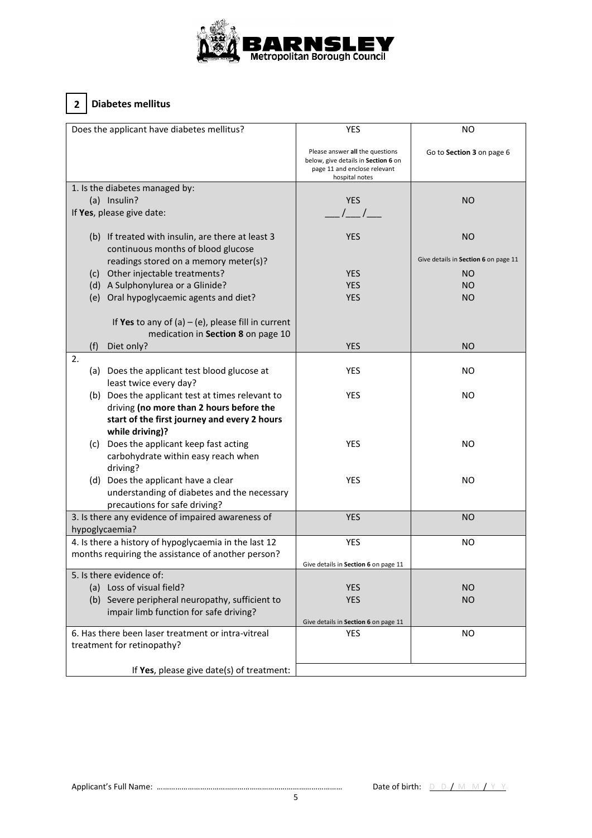

# **2 Diabetes mellitus**

| Does the applicant have diabetes mellitus?            | <b>YES</b>                                                                                                               | <b>NO</b>                            |
|-------------------------------------------------------|--------------------------------------------------------------------------------------------------------------------------|--------------------------------------|
|                                                       | Please answer all the questions<br>below, give details in Section 6 on<br>page 11 and enclose relevant<br>hospital notes | Go to Section 3 on page 6            |
| 1. Is the diabetes managed by:                        |                                                                                                                          |                                      |
| (a) Insulin?                                          | <b>YES</b>                                                                                                               | NO.                                  |
| If Yes, please give date:                             | $\left  \begin{array}{cc} \end{array} \right $                                                                           |                                      |
|                                                       |                                                                                                                          |                                      |
| (b) If treated with insulin, are there at least 3     | <b>YES</b>                                                                                                               | <b>NO</b>                            |
| continuous months of blood glucose                    |                                                                                                                          |                                      |
| readings stored on a memory meter(s)?                 |                                                                                                                          | Give details in Section 6 on page 11 |
| (c) Other injectable treatments?                      | <b>YES</b>                                                                                                               | NO.                                  |
| (d) A Sulphonylurea or a Glinide?                     | <b>YES</b>                                                                                                               | NO.                                  |
| (e) Oral hypoglycaemic agents and diet?               | <b>YES</b>                                                                                                               | NO.                                  |
|                                                       |                                                                                                                          |                                      |
| If Yes to any of (a) – (e), please fill in current    |                                                                                                                          |                                      |
| medication in Section 8 on page 10                    |                                                                                                                          |                                      |
| Diet only?                                            | <b>YES</b>                                                                                                               | <b>NO</b>                            |
| (f)<br>2.                                             |                                                                                                                          |                                      |
|                                                       |                                                                                                                          |                                      |
| (a) Does the applicant test blood glucose at          | <b>YES</b>                                                                                                               | NO.                                  |
| least twice every day?                                |                                                                                                                          |                                      |
| (b) Does the applicant test at times relevant to      | <b>YES</b>                                                                                                               | NO.                                  |
| driving (no more than 2 hours before the              |                                                                                                                          |                                      |
| start of the first journey and every 2 hours          |                                                                                                                          |                                      |
| while driving)?                                       |                                                                                                                          |                                      |
| (c) Does the applicant keep fast acting               | <b>YES</b>                                                                                                               | NO.                                  |
| carbohydrate within easy reach when                   |                                                                                                                          |                                      |
| driving?                                              |                                                                                                                          |                                      |
| (d) Does the applicant have a clear                   | <b>YES</b>                                                                                                               | NO.                                  |
| understanding of diabetes and the necessary           |                                                                                                                          |                                      |
| precautions for safe driving?                         |                                                                                                                          |                                      |
| 3. Is there any evidence of impaired awareness of     | <b>YES</b>                                                                                                               | NO.                                  |
| hypoglycaemia?                                        |                                                                                                                          |                                      |
| 4. Is there a history of hypoglycaemia in the last 12 | <b>YES</b>                                                                                                               | NO.                                  |
| months requiring the assistance of another person?    |                                                                                                                          |                                      |
|                                                       | Give details in Section 6 on page 11                                                                                     |                                      |
| 5. Is there evidence of:                              |                                                                                                                          |                                      |
| (a) Loss of visual field?                             | <b>YES</b>                                                                                                               | <b>NO</b>                            |
| (b) Severe peripheral neuropathy, sufficient to       | <b>YES</b>                                                                                                               | <b>NO</b>                            |
| impair limb function for safe driving?                |                                                                                                                          |                                      |
|                                                       | Give details in Section 6 on page 11                                                                                     |                                      |
| 6. Has there been laser treatment or intra-vitreal    | <b>YES</b>                                                                                                               | <b>NO</b>                            |
| treatment for retinopathy?                            |                                                                                                                          |                                      |
|                                                       |                                                                                                                          |                                      |
| If Yes, please give date(s) of treatment:             |                                                                                                                          |                                      |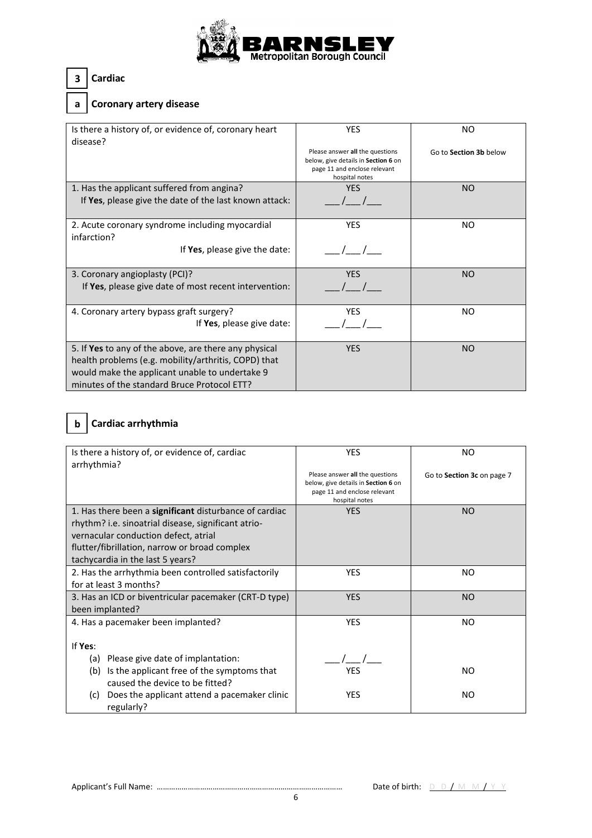

### **3 Cardiac**

### **a Coronary artery disease**

| Is there a history of, or evidence of, coronary heart<br>disease?                                                                                                                                              | <b>YES</b>                                                                                                               | NO                     |
|----------------------------------------------------------------------------------------------------------------------------------------------------------------------------------------------------------------|--------------------------------------------------------------------------------------------------------------------------|------------------------|
|                                                                                                                                                                                                                | Please answer all the questions<br>below, give details in Section 6 on<br>page 11 and enclose relevant<br>hospital notes | Go to Section 3b below |
| 1. Has the applicant suffered from angina?                                                                                                                                                                     | <b>YES</b>                                                                                                               | NO.                    |
| If Yes, please give the date of the last known attack:                                                                                                                                                         |                                                                                                                          |                        |
| 2. Acute coronary syndrome including myocardial<br>infarction?                                                                                                                                                 | <b>YFS</b>                                                                                                               | NO.                    |
| If Yes, please give the date:                                                                                                                                                                                  |                                                                                                                          |                        |
| 3. Coronary angioplasty (PCI)?<br>If Yes, please give date of most recent intervention:                                                                                                                        | <b>YES</b>                                                                                                               | NO.                    |
| 4. Coronary artery bypass graft surgery?<br>If Yes, please give date:                                                                                                                                          | <b>YES</b>                                                                                                               | NO.                    |
| 5. If Yes to any of the above, are there any physical<br>health problems (e.g. mobility/arthritis, COPD) that<br>would make the applicant unable to undertake 9<br>minutes of the standard Bruce Protocol ETT? | <b>YES</b>                                                                                                               | <b>NO</b>              |

# **b Cardiac arrhythmia**

| Is there a history of, or evidence of, cardiac         | <b>YES</b>                                                          | NO.                        |
|--------------------------------------------------------|---------------------------------------------------------------------|----------------------------|
| arrhythmia?                                            |                                                                     |                            |
|                                                        | Please answer all the questions                                     | Go to Section 3c on page 7 |
|                                                        | below, give details in Section 6 on<br>page 11 and enclose relevant |                            |
|                                                        | hospital notes                                                      |                            |
| 1. Has there been a significant disturbance of cardiac | <b>YES</b>                                                          | <b>NO</b>                  |
| rhythm? i.e. sinoatrial disease, significant atrio-    |                                                                     |                            |
| vernacular conduction defect, atrial                   |                                                                     |                            |
| flutter/fibrillation, narrow or broad complex          |                                                                     |                            |
| tachycardia in the last 5 years?                       |                                                                     |                            |
| 2. Has the arrhythmia been controlled satisfactorily   | <b>YES</b>                                                          | NO.                        |
| for at least 3 months?                                 |                                                                     |                            |
| 3. Has an ICD or biventricular pacemaker (CRT-D type)  | <b>YES</b>                                                          | N <sub>O</sub>             |
| been implanted?                                        |                                                                     |                            |
| 4. Has a pacemaker been implanted?                     | <b>YES</b>                                                          | NO.                        |
|                                                        |                                                                     |                            |
| If Yes:                                                |                                                                     |                            |
| Please give date of implantation:<br>(a)               |                                                                     |                            |
| Is the applicant free of the symptoms that<br>(b)      | <b>YES</b>                                                          | NO.                        |
| caused the device to be fitted?                        |                                                                     |                            |
| Does the applicant attend a pacemaker clinic<br>(c)    | <b>YES</b>                                                          | NO.                        |
| regularly?                                             |                                                                     |                            |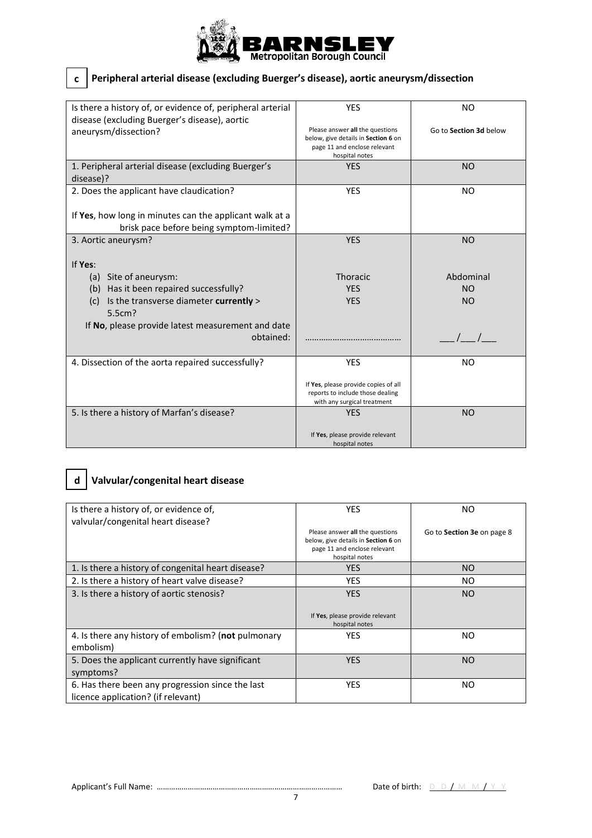

## **c Peripheral arterial disease (excluding Buerger's disease), aortic aneurysm/dissection**

| Is there a history of, or evidence of, peripheral arterial | <b>YES</b>                                                      | NO.                    |
|------------------------------------------------------------|-----------------------------------------------------------------|------------------------|
| disease (excluding Buerger's disease), aortic              |                                                                 |                        |
| aneurysm/dissection?                                       | Please answer all the questions                                 | Go to Section 3d below |
|                                                            | below, give details in Section 6 on                             |                        |
|                                                            | page 11 and enclose relevant                                    |                        |
|                                                            | hospital notes                                                  |                        |
| 1. Peripheral arterial disease (excluding Buerger's        | <b>YES</b>                                                      | <b>NO</b>              |
| disease)?                                                  |                                                                 |                        |
| 2. Does the applicant have claudication?                   | <b>YES</b>                                                      | N <sub>O</sub>         |
|                                                            |                                                                 |                        |
|                                                            |                                                                 |                        |
| If Yes, how long in minutes can the applicant walk at a    |                                                                 |                        |
| brisk pace before being symptom-limited?                   |                                                                 |                        |
| 3. Aortic aneurysm?                                        | <b>YES</b>                                                      | <b>NO</b>              |
|                                                            |                                                                 |                        |
|                                                            |                                                                 |                        |
| If Yes:                                                    |                                                                 |                        |
| (a) Site of aneurysm:                                      | Thoracic                                                        | Abdominal              |
| (b) Has it been repaired successfully?                     | <b>YES</b>                                                      | NO                     |
| (c)                                                        | <b>YES</b>                                                      | <b>NO</b>              |
| Is the transverse diameter currently >                     |                                                                 |                        |
| 5.5cm?                                                     |                                                                 |                        |
| If No, please provide latest measurement and date          |                                                                 |                        |
| obtained:                                                  |                                                                 |                        |
|                                                            |                                                                 |                        |
| 4. Dissection of the aorta repaired successfully?          | <b>YES</b>                                                      | NO.                    |
|                                                            |                                                                 |                        |
|                                                            |                                                                 |                        |
|                                                            | If Yes, please provide copies of all                            |                        |
|                                                            | reports to include those dealing<br>with any surgical treatment |                        |
|                                                            |                                                                 |                        |
| 5. Is there a history of Marfan's disease?                 | <b>YES</b>                                                      | <b>NO</b>              |
|                                                            |                                                                 |                        |
|                                                            | If Yes, please provide relevant                                 |                        |
|                                                            | hospital notes                                                  |                        |

## **d Valvular/congenital heart disease**

| Is there a history of, or evidence of,<br>valvular/congenital heart disease?           | <b>YES</b>                                                                                                               | <b>NO</b>                  |
|----------------------------------------------------------------------------------------|--------------------------------------------------------------------------------------------------------------------------|----------------------------|
|                                                                                        | Please answer all the questions<br>below, give details in Section 6 on<br>page 11 and enclose relevant<br>hospital notes | Go to Section 3e on page 8 |
| 1. Is there a history of congenital heart disease?                                     | <b>YES</b>                                                                                                               | NO.                        |
| 2. Is there a history of heart valve disease?                                          | <b>YES</b>                                                                                                               | NO.                        |
| 3. Is there a history of aortic stenosis?                                              | <b>YES</b><br>If Yes, please provide relevant<br>hospital notes                                                          | <b>NO</b>                  |
| 4. Is there any history of embolism? (not pulmonary<br>embolism)                       | <b>YES</b>                                                                                                               | NO.                        |
| 5. Does the applicant currently have significant<br>symptoms?                          | <b>YES</b>                                                                                                               | NO.                        |
| 6. Has there been any progression since the last<br>licence application? (if relevant) | <b>YES</b>                                                                                                               | NO.                        |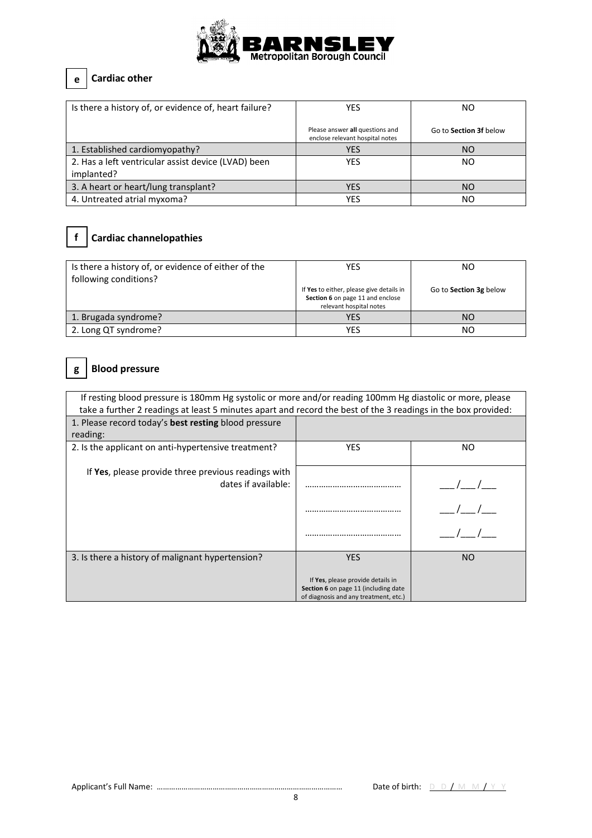

## **e Cardiac other**

| Is there a history of, or evidence of, heart failure? | YES                                                                | ΝO                            |
|-------------------------------------------------------|--------------------------------------------------------------------|-------------------------------|
|                                                       | Please answer all questions and<br>enclose relevant hospital notes | Go to <b>Section 3f</b> below |
| 1. Established cardiomyopathy?                        | <b>YES</b>                                                         | <b>NO</b>                     |
| 2. Has a left ventricular assist device (LVAD) been   | YES                                                                | NO                            |
| implanted?                                            |                                                                    |                               |
| 3. A heart or heart/lung transplant?                  | <b>YES</b>                                                         | <b>NO</b>                     |
| 4. Untreated atrial myxoma?                           | YES                                                                | NO                            |

# **f Cardiac channelopathies**

| Is there a history of, or evidence of either of the<br>following conditions? | YES                                                                                                     | NΟ                     |  |
|------------------------------------------------------------------------------|---------------------------------------------------------------------------------------------------------|------------------------|--|
|                                                                              | If Yes to either, please give details in<br>Section 6 on page 11 and enclose<br>relevant hospital notes | Go to Section 3g below |  |
| 1. Brugada syndrome?                                                         | <b>YES</b>                                                                                              | NΟ                     |  |
| 2. Long QT syndrome?                                                         | YES                                                                                                     | NΟ                     |  |

## **g Blood pressure**

| If resting blood pressure is 180mm Hg systolic or more and/or reading 100mm Hg diastolic or more, please<br>take a further 2 readings at least 5 minutes apart and record the best of the 3 readings in the box provided: |                                                                                                                    |     |  |  |
|---------------------------------------------------------------------------------------------------------------------------------------------------------------------------------------------------------------------------|--------------------------------------------------------------------------------------------------------------------|-----|--|--|
| 1. Please record today's best resting blood pressure                                                                                                                                                                      |                                                                                                                    |     |  |  |
| reading:                                                                                                                                                                                                                  |                                                                                                                    |     |  |  |
| 2. Is the applicant on anti-hypertensive treatment?                                                                                                                                                                       | <b>YES</b>                                                                                                         | NO. |  |  |
| If Yes, please provide three previous readings with<br>dates if available:                                                                                                                                                |                                                                                                                    |     |  |  |
|                                                                                                                                                                                                                           |                                                                                                                    |     |  |  |
|                                                                                                                                                                                                                           |                                                                                                                    |     |  |  |
| 3. Is there a history of malignant hypertension?                                                                                                                                                                          | <b>YES</b>                                                                                                         | NO. |  |  |
|                                                                                                                                                                                                                           | If Yes, please provide details in<br>Section 6 on page 11 (including date<br>of diagnosis and any treatment, etc.) |     |  |  |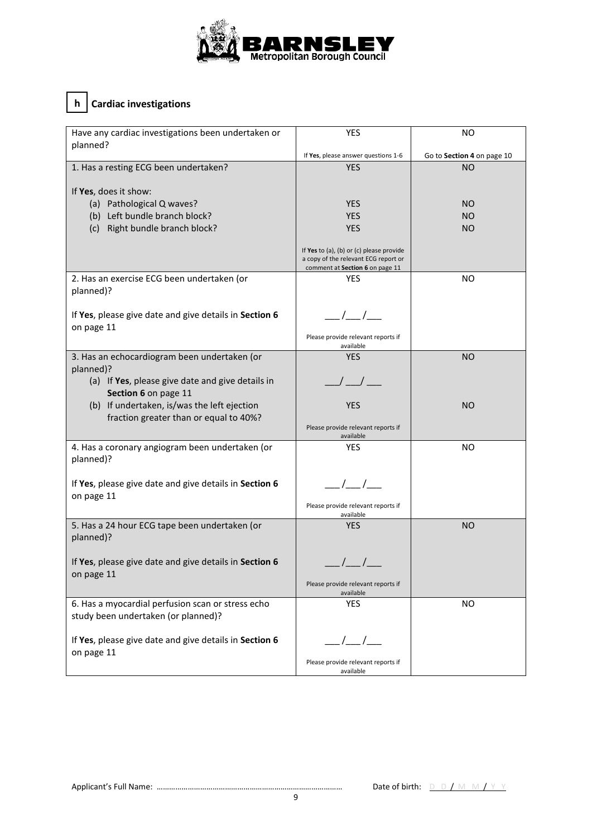

## **h Cardiac investigations**

| Have any cardiac investigations been undertaken or<br>planned?       | <b>YES</b>                                                                                                          | NO                         |  |
|----------------------------------------------------------------------|---------------------------------------------------------------------------------------------------------------------|----------------------------|--|
|                                                                      | If Yes, please answer questions 1-6                                                                                 | Go to Section 4 on page 10 |  |
| 1. Has a resting ECG been undertaken?                                | <b>YES</b>                                                                                                          | ΝO                         |  |
| If Yes, does it show:                                                |                                                                                                                     |                            |  |
| (a) Pathological Q waves?                                            | <b>YES</b>                                                                                                          | NO                         |  |
| (b) Left bundle branch block?                                        | <b>YES</b>                                                                                                          | NO.                        |  |
| (c) Right bundle branch block?                                       | <b>YES</b>                                                                                                          | <b>NO</b>                  |  |
|                                                                      |                                                                                                                     |                            |  |
|                                                                      | If Yes to (a), (b) or (c) please provide<br>a copy of the relevant ECG report or<br>comment at Section 6 on page 11 |                            |  |
| 2. Has an exercise ECG been undertaken (or                           | <b>YES</b>                                                                                                          | ΝO                         |  |
| planned)?                                                            |                                                                                                                     |                            |  |
|                                                                      |                                                                                                                     |                            |  |
| If Yes, please give date and give details in Section 6<br>on page 11 | $\frac{1}{\sqrt{2}}$                                                                                                |                            |  |
|                                                                      | Please provide relevant reports if<br>available                                                                     |                            |  |
| 3. Has an echocardiogram been undertaken (or                         | <b>YES</b>                                                                                                          | <b>NO</b>                  |  |
| planned)?                                                            |                                                                                                                     |                            |  |
| (a) If Yes, please give date and give details in                     |                                                                                                                     |                            |  |
| Section 6 on page 11                                                 |                                                                                                                     |                            |  |
| (b) If undertaken, is/was the left ejection                          | <b>YES</b>                                                                                                          | NO                         |  |
| fraction greater than or equal to 40%?                               |                                                                                                                     |                            |  |
|                                                                      | Please provide relevant reports if                                                                                  |                            |  |
| 4. Has a coronary angiogram been undertaken (or                      | available<br><b>YES</b>                                                                                             | NO.                        |  |
| planned)?                                                            |                                                                                                                     |                            |  |
|                                                                      |                                                                                                                     |                            |  |
| If Yes, please give date and give details in Section 6               | ___/___/___                                                                                                         |                            |  |
| on page 11                                                           |                                                                                                                     |                            |  |
|                                                                      | Please provide relevant reports if<br>available                                                                     |                            |  |
| 5. Has a 24 hour ECG tape been undertaken (or                        | <b>YES</b>                                                                                                          | <b>NO</b>                  |  |
| planned)?                                                            |                                                                                                                     |                            |  |
|                                                                      |                                                                                                                     |                            |  |
| If Yes, please give date and give details in Section 6               | $\frac{1}{2}$ / $\frac{1}{2}$                                                                                       |                            |  |
| on page 11                                                           |                                                                                                                     |                            |  |
|                                                                      | Please provide relevant reports if                                                                                  |                            |  |
| 6. Has a myocardial perfusion scan or stress echo                    | available<br><b>YES</b>                                                                                             | NO.                        |  |
| study been undertaken (or planned)?                                  |                                                                                                                     |                            |  |
|                                                                      |                                                                                                                     |                            |  |
| If Yes, please give date and give details in Section 6               | $\frac{1}{\sqrt{2}}$                                                                                                |                            |  |
| on page 11                                                           |                                                                                                                     |                            |  |
|                                                                      | Please provide relevant reports if<br>available                                                                     |                            |  |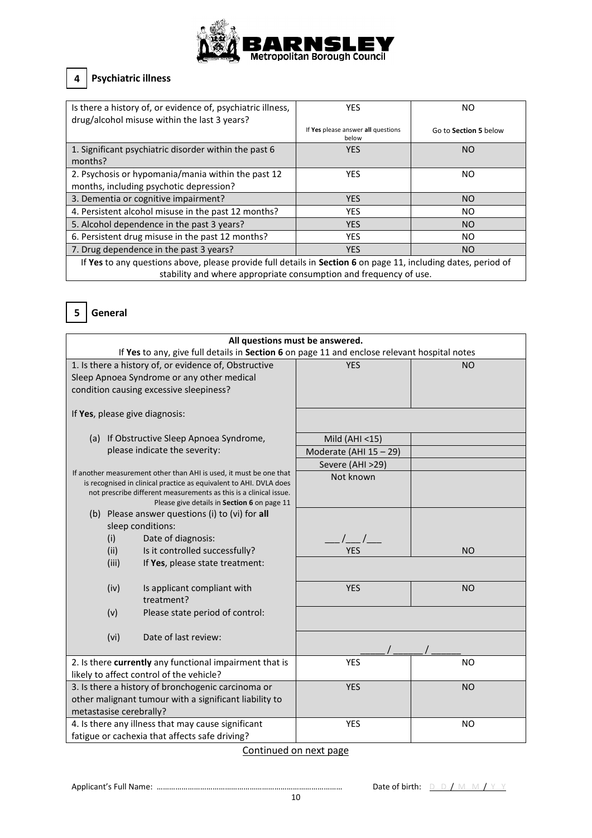

## **4 Psychiatric illness**

| Is there a history of, or evidence of, psychiatric illness,<br>drug/alcohol misuse within the last 3 years?    | <b>YES</b>                                  | ΝO                    |  |  |
|----------------------------------------------------------------------------------------------------------------|---------------------------------------------|-----------------------|--|--|
|                                                                                                                | If Yes please answer all questions<br>below | Go to Section 5 below |  |  |
| 1. Significant psychiatric disorder within the past 6                                                          | <b>YES</b>                                  | NO                    |  |  |
| months?                                                                                                        |                                             |                       |  |  |
| 2. Psychosis or hypomania/mania within the past 12                                                             | <b>YES</b>                                  | ΝO                    |  |  |
| months, including psychotic depression?                                                                        |                                             |                       |  |  |
| 3. Dementia or cognitive impairment?                                                                           | <b>YES</b>                                  | NO.                   |  |  |
| 4. Persistent alcohol misuse in the past 12 months?                                                            | <b>YES</b>                                  | NO.                   |  |  |
| 5. Alcohol dependence in the past 3 years?                                                                     | <b>YES</b>                                  | NO.                   |  |  |
| 6. Persistent drug misuse in the past 12 months?                                                               | <b>YES</b>                                  | ΝO                    |  |  |
| 7. Drug dependence in the past 3 years?                                                                        | <b>YES</b>                                  | <b>NO</b>             |  |  |
| If Yes to any questions above, please provide full details in Section 6 on page 11, including dates, period of |                                             |                       |  |  |
| stability and where appropriate consumption and frequency of use.                                              |                                             |                       |  |  |



| All questions must be answered.                                                                                                                                                                                                                              |                                                                                              |                         |                |  |  |
|--------------------------------------------------------------------------------------------------------------------------------------------------------------------------------------------------------------------------------------------------------------|----------------------------------------------------------------------------------------------|-------------------------|----------------|--|--|
|                                                                                                                                                                                                                                                              | If Yes to any, give full details in Section 6 on page 11 and enclose relevant hospital notes |                         |                |  |  |
|                                                                                                                                                                                                                                                              | 1. Is there a history of, or evidence of, Obstructive                                        | <b>YES</b>              | <b>NO</b>      |  |  |
|                                                                                                                                                                                                                                                              | Sleep Apnoea Syndrome or any other medical                                                   |                         |                |  |  |
|                                                                                                                                                                                                                                                              | condition causing excessive sleepiness?                                                      |                         |                |  |  |
|                                                                                                                                                                                                                                                              |                                                                                              |                         |                |  |  |
|                                                                                                                                                                                                                                                              | If Yes, please give diagnosis:                                                               |                         |                |  |  |
|                                                                                                                                                                                                                                                              | (a) If Obstructive Sleep Apnoea Syndrome,                                                    | Mild (AHI <15)          |                |  |  |
|                                                                                                                                                                                                                                                              | please indicate the severity:                                                                | Moderate (AHI 15 - 29)  |                |  |  |
|                                                                                                                                                                                                                                                              |                                                                                              | Severe (AHI >29)        |                |  |  |
| If another measurement other than AHI is used, it must be one that<br>is recognised in clinical practice as equivalent to AHI. DVLA does<br>not prescribe different measurements as this is a clinical issue.<br>Please give details in Section 6 on page 11 |                                                                                              | Not known               |                |  |  |
|                                                                                                                                                                                                                                                              | (b) Please answer questions (i) to (vi) for all                                              |                         |                |  |  |
|                                                                                                                                                                                                                                                              | sleep conditions:                                                                            |                         |                |  |  |
| (i)                                                                                                                                                                                                                                                          | Date of diagnosis:                                                                           | $\prime$ /              |                |  |  |
| (ii)                                                                                                                                                                                                                                                         | Is it controlled successfully?                                                               | <b>YES</b>              | <b>NO</b>      |  |  |
| (iii)                                                                                                                                                                                                                                                        | If Yes, please state treatment:                                                              |                         |                |  |  |
| (iv)                                                                                                                                                                                                                                                         | Is applicant compliant with<br>treatment?                                                    | <b>YES</b><br><b>NO</b> |                |  |  |
| (v)                                                                                                                                                                                                                                                          | Please state period of control:                                                              |                         |                |  |  |
| (vi)                                                                                                                                                                                                                                                         | Date of last review:                                                                         |                         |                |  |  |
| 2. Is there currently any functional impairment that is                                                                                                                                                                                                      |                                                                                              | <b>YES</b>              | N <sub>O</sub> |  |  |
|                                                                                                                                                                                                                                                              | likely to affect control of the vehicle?                                                     |                         |                |  |  |
| 3. Is there a history of bronchogenic carcinoma or                                                                                                                                                                                                           |                                                                                              | <b>YES</b>              | <b>NO</b>      |  |  |
| other malignant tumour with a significant liability to                                                                                                                                                                                                       |                                                                                              |                         |                |  |  |
| metastasise cerebrally?                                                                                                                                                                                                                                      |                                                                                              |                         |                |  |  |
|                                                                                                                                                                                                                                                              | 4. Is there any illness that may cause significant                                           | <b>YES</b>              | <b>NO</b>      |  |  |
|                                                                                                                                                                                                                                                              | fatigue or cachexia that affects safe driving?                                               |                         |                |  |  |

Continued on next page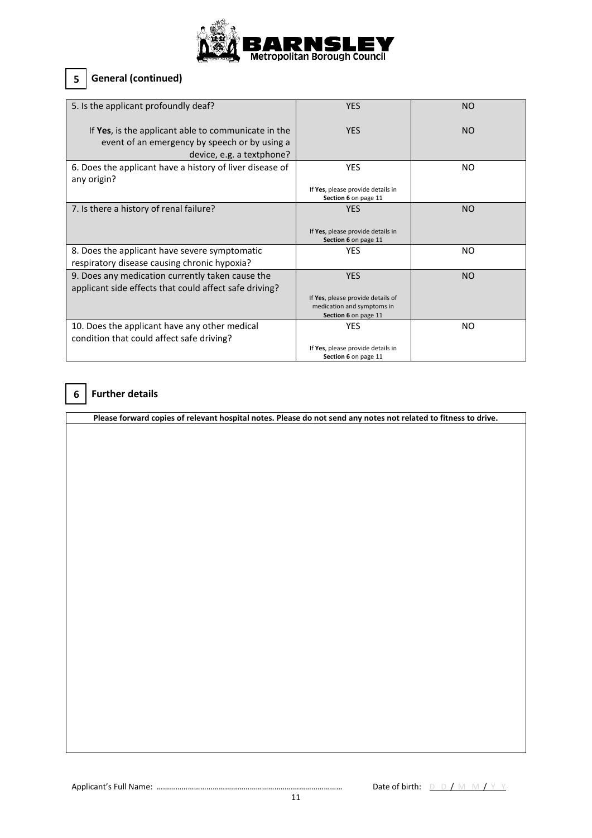

#### **5 General (continued)**

| 5. Is the applicant profoundly deaf?                                                                                              | <b>YES</b>                                                                                            | <b>NO</b> |
|-----------------------------------------------------------------------------------------------------------------------------------|-------------------------------------------------------------------------------------------------------|-----------|
| If Yes, is the applicant able to communicate in the<br>event of an emergency by speech or by using a<br>device, e.g. a textphone? | <b>YES</b>                                                                                            | NO.       |
| 6. Does the applicant have a history of liver disease of<br>any origin?                                                           | <b>YES</b><br>If Yes, please provide details in<br>Section 6 on page 11                               | NO.       |
| 7. Is there a history of renal failure?                                                                                           | <b>YES</b><br>If Yes, please provide details in<br>Section 6 on page 11                               | NO.       |
| 8. Does the applicant have severe symptomatic<br>respiratory disease causing chronic hypoxia?                                     | <b>YES</b>                                                                                            | NO.       |
| 9. Does any medication currently taken cause the<br>applicant side effects that could affect safe driving?                        | <b>YES</b><br>If Yes, please provide details of<br>medication and symptoms in<br>Section 6 on page 11 | NO        |
| 10. Does the applicant have any other medical<br>condition that could affect safe driving?                                        | <b>YES</b><br>If Yes, please provide details in<br>Section 6 on page 11                               | NO.       |

#### **6 Further details**

**Please forward copies of relevant hospital notes. Please do not send any notes not related to fitness to drive.**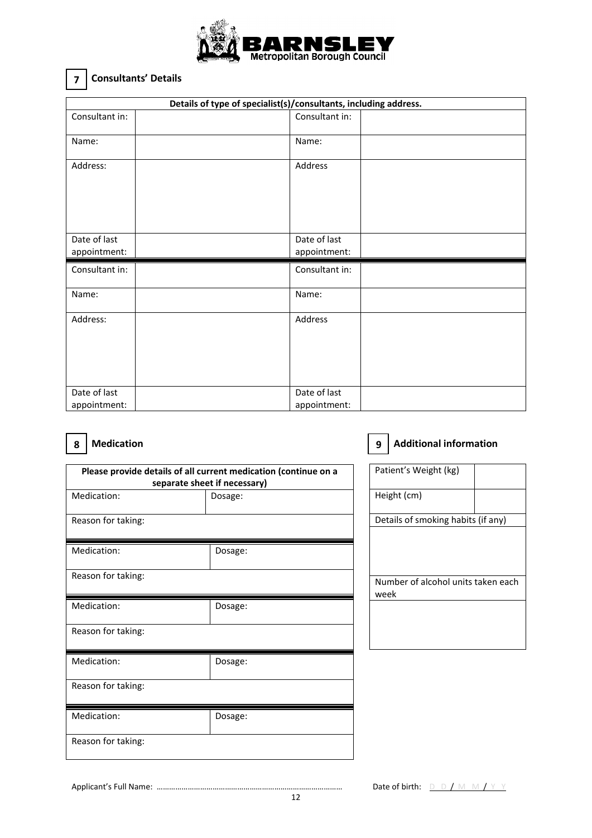

#### **7 Consultants' Details**

| Details of type of specialist(s)/consultants, including address. |                |              |  |
|------------------------------------------------------------------|----------------|--------------|--|
| Consultant in:                                                   | Consultant in: |              |  |
| Name:                                                            | Name:          |              |  |
| Address:                                                         | Address        |              |  |
| Date of last<br>appointment:                                     | Date of last   | appointment: |  |
|                                                                  |                |              |  |
| Consultant in:                                                   | Consultant in: |              |  |
| Name:                                                            | Name:          |              |  |
| Address:                                                         | Address        |              |  |

#### **8 Medication Medication 19 Additional information**

| Please provide details of all current medication (continue on a<br>separate sheet if necessary) |         |  |  |
|-------------------------------------------------------------------------------------------------|---------|--|--|
| Medication:                                                                                     | Dosage: |  |  |
| Reason for taking:                                                                              |         |  |  |
| Medication:                                                                                     | Dosage: |  |  |
| Reason for taking:                                                                              |         |  |  |
| Medication:                                                                                     | Dosage: |  |  |
| Reason for taking:                                                                              |         |  |  |
| Medication:                                                                                     | Dosage: |  |  |
| Reason for taking:                                                                              |         |  |  |
| Medication:                                                                                     | Dosage: |  |  |
| Reason for taking:                                                                              |         |  |  |

Patient's Weight (kg) Height (cm) Details of smoking habits (if any) Number of alcohol units taken each week